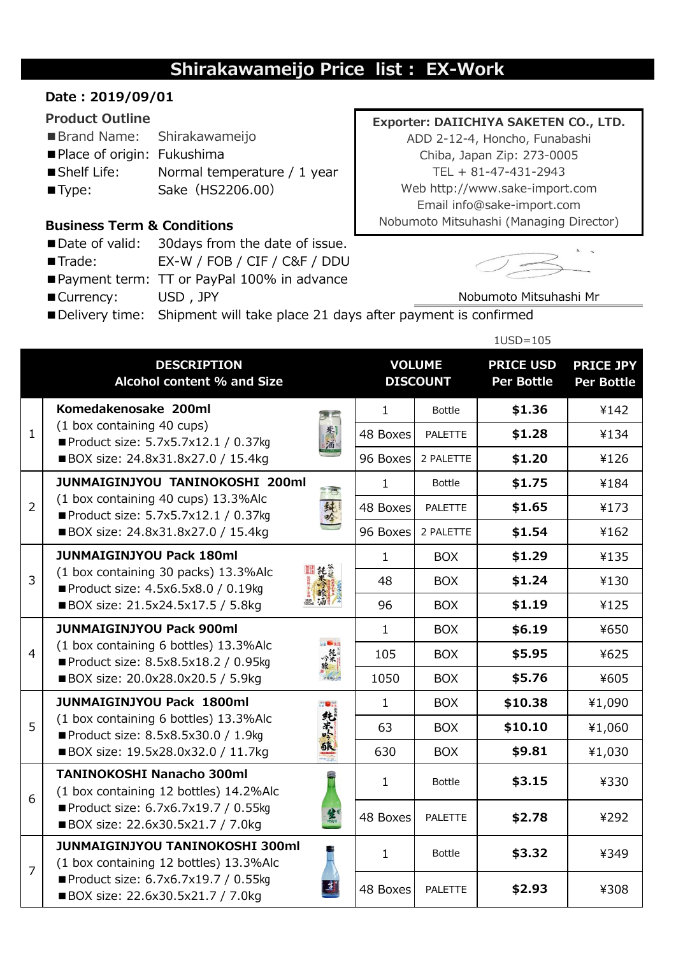# **Shirakawameijo Price list : EX-Work**

### **Date : 2019/09/01**

#### **Product Outline**

- ■Brand Name: Shirakawameijo
- Place of origin: Fukushima
- Shelf Life: Normal temperature / 1 year
- ■Type: Sake (HS2206.00)

## **Business Term & Conditions**

- Date of valid: 30 days from the date of issue.
- ■Trade: EX-W / FOB / CIF / C&F / DDU
- Payment term: TT or PayPal 100% in advance
- ■Currency: USD, JPY

#### **Exporter: DAIICHIYA SAKETEN CO., LTD.**

ADD 2-12-4, Honcho, Funabashi Chiba, Japan Zip: 273-0005 TEL + 81-47-431-2943 Web http://www.sake-import.com Email info@sake-import.com Nobumoto Mitsuhashi (Managing Director)



Nobumoto Mitsuhashi Mr

■ Delivery time: Shipment will take place 21 days after payment is confirmed

|                |                                                                                                                                                               |              | $1USD=105$                       |                |                                       |                                       |
|----------------|---------------------------------------------------------------------------------------------------------------------------------------------------------------|--------------|----------------------------------|----------------|---------------------------------------|---------------------------------------|
|                | <b>DESCRIPTION</b><br>Alcohol content % and Size                                                                                                              |              | <b>VOLUME</b><br><b>DISCOUNT</b> |                | <b>PRICE USD</b><br><b>Per Bottle</b> | <b>PRICE JPY</b><br><b>Per Bottle</b> |
| $\mathbf{1}$   | Komedakenosake 200ml<br>(1 box containing 40 cups)<br>Product size: 5.7x5.7x12.1 / 0.37kg<br>■ BOX size: 24.8x31.8x27.0 / 15.4kg                              | $\mathbf{1}$ | <b>Bottle</b>                    | \$1.36         | ¥142                                  |                                       |
|                |                                                                                                                                                               |              | 48 Boxes                         | <b>PALETTE</b> | \$1.28                                | ¥134                                  |
|                |                                                                                                                                                               | 96 Boxes     | 2 PALETTE                        | \$1.20         | ¥126                                  |                                       |
| $\overline{2}$ | JUNMAIGINJYOU TANINOKOSHI 200ml                                                                                                                               |              | $\mathbf{1}$                     | <b>Bottle</b>  | \$1.75                                | ¥184                                  |
|                | (1 box containing 40 cups) 13.3%Alc<br>純吟<br>Product size: 5.7x5.7x12.1 / 0.37kg                                                                              |              | 48 Boxes                         | <b>PALETTE</b> | \$1.65                                | ¥173                                  |
|                | ■ BOX size: 24.8x31.8x27.0 / 15.4kg                                                                                                                           |              | 96 Boxes                         | 2 PALETTE      | \$1.54                                | ¥162                                  |
| $\overline{3}$ | <b>JUNMAIGINJYOU Pack 180ml</b><br>(1 box containing 30 packs) 13.3%Alc<br>Product size: 4.5x6.5x8.0 / 0.19kg<br>■ BOX size: 21.5x24.5x17.5 / 5.8kg           | $\mathbf{1}$ | <b>BOX</b>                       | \$1.29         | ¥135                                  |                                       |
|                |                                                                                                                                                               |              | 48                               | <b>BOX</b>     | \$1.24                                | ¥130                                  |
|                |                                                                                                                                                               | 96           | <b>BOX</b>                       | \$1.19         | ¥125                                  |                                       |
| $\overline{4}$ | <b>JUNMAIGINJYOU Pack 900ml</b>                                                                                                                               |              | $\mathbf{1}$                     | <b>BOX</b>     | \$6.19                                | ¥650                                  |
|                | <b>Selling</b><br>(1 box containing 6 bottles) 13.3%Alc<br>"熊"<br>Product size: 8.5x8.5x18.2 / 0.95kg<br>■ BOX size: 20.0x28.0x20.5 / 5.9kg                   |              | 105                              | <b>BOX</b>     | \$5.95                                | ¥625                                  |
|                |                                                                                                                                                               |              | 1050                             | <b>BOX</b>     | \$5.76                                | ¥605                                  |
|                | <b>JUNMAIGINJYOU Pack 1800ml</b><br>純米公<br>(1 box containing 6 bottles) 13.3%Alc<br>Product size: 8.5x8.5x30.0 / 1.9kg<br>■ BOX size: 19.5x28.0x32.0 / 11.7kg |              | $\mathbf{1}$                     | <b>BOX</b>     | \$10.38                               | ¥1,090                                |
| 5              |                                                                                                                                                               |              | 63                               | <b>BOX</b>     | \$10.10                               | ¥1,060                                |
|                |                                                                                                                                                               |              | 630                              | <b>BOX</b>     | \$9.81                                | ¥1,030                                |
| 6              | <b>TANINOKOSHI Nanacho 300ml</b><br>(1 box containing 12 bottles) 14.2%Alc<br>Product size: 6.7x6.7x19.7 / 0.55kg<br>笔<br>■ BOX size: 22.6x30.5x21.7 / 7.0kg  |              | $\mathbf{1}$                     | <b>Bottle</b>  | \$3.15                                | ¥330                                  |
|                |                                                                                                                                                               |              | 48 Boxes                         | <b>PALETTE</b> | \$2.78                                | ¥292                                  |
| $\overline{7}$ | <b>JUNMAIGINJYOU TANINOKOSHI 300ml</b><br>(1 box containing 12 bottles) 13.3%Alc<br>Product size: 6.7x6.7x19.7 / 0.55kg<br>■ BOX size: 22.6x30.5x21.7 / 7.0kg |              | $\mathbf{1}$                     | <b>Bottle</b>  | \$3.32                                | ¥349                                  |
|                |                                                                                                                                                               |              | 48 Boxes                         | <b>PALETTE</b> | \$2.93                                | ¥308                                  |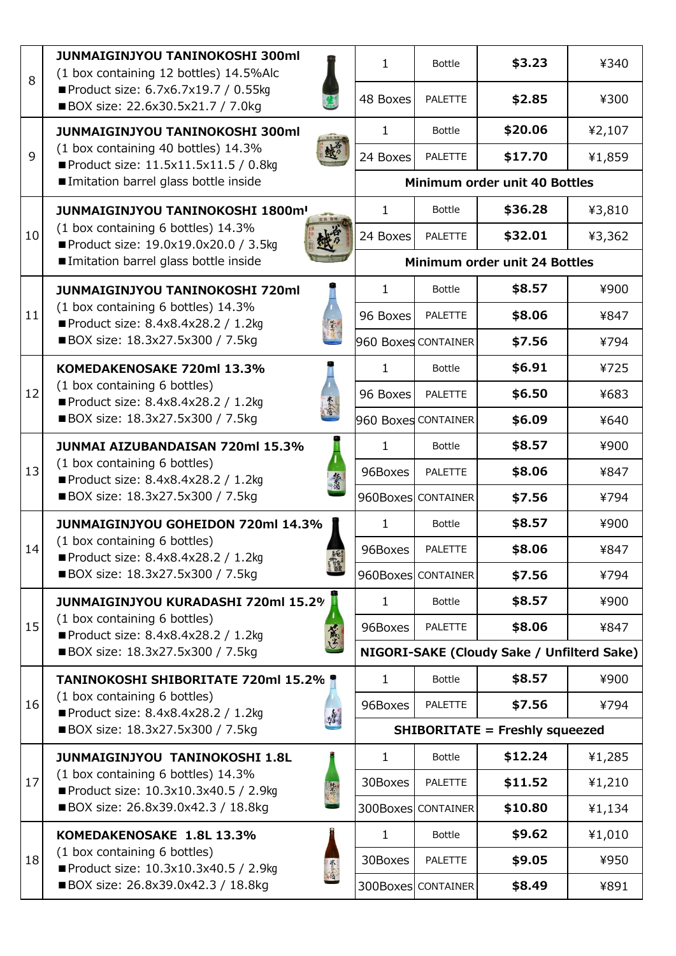| 8  | <b>JUNMAIGINJYOU TANINOKOSHI 300ml</b><br>(1 box containing 12 bottles) 14.5%Alc<br>Product size: 6.7x6.7x19.7 / 0.55kg<br>■ BOX size: 22.6x30.5x21.7 / 7.0kg    | $\mathbf{1}$                               | <b>Bottle</b>                 | \$3.23  | ¥340   |
|----|------------------------------------------------------------------------------------------------------------------------------------------------------------------|--------------------------------------------|-------------------------------|---------|--------|
|    |                                                                                                                                                                  | 48 Boxes                                   | <b>PALETTE</b>                | \$2.85  | ¥300   |
| 9  | <b>JUNMAIGINJYOU TANINOKOSHI 300ml</b><br>(1 box containing 40 bottles) 14.3%<br>Product size: 11.5x11.5x11.5 / 0.8kg<br>Imitation barrel glass bottle inside    | $\mathbf{1}$                               | <b>Bottle</b>                 | \$20.06 | ¥2,107 |
|    |                                                                                                                                                                  | 24 Boxes                                   | <b>PALETTE</b>                | \$17.70 | ¥1,859 |
|    |                                                                                                                                                                  |                                            | Minimum order unit 40 Bottles |         |        |
| 10 | <b>JUNMAIGINJYOU TANINOKOSHI 1800m!</b>                                                                                                                          | 1                                          | <b>Bottle</b>                 | \$36.28 | ¥3,810 |
|    | (1 box containing 6 bottles) 14.3%<br>Product size: 19.0x19.0x20.0 / 3.5kg<br>Imitation barrel glass bottle inside                                               | 24 Boxes                                   | <b>PALETTE</b>                | \$32.01 | ¥3,362 |
|    |                                                                                                                                                                  |                                            | Minimum order unit 24 Bottles |         |        |
| 11 | <b>JUNMAIGINJYOU TANINOKOSHI 720ml</b><br>(1 box containing 6 bottles) 14.3%<br>Product size: 8.4x8.4x28.2 / 1.2kg<br>■ BOX size: 18.3x27.5x300 / 7.5kg          | $\mathbf{1}$                               | <b>Bottle</b>                 | \$8.57  | ¥900   |
|    |                                                                                                                                                                  | 96 Boxes                                   | <b>PALETTE</b>                | \$8.06  | ¥847   |
|    |                                                                                                                                                                  |                                            | 960 Boxes CONTAINER           | \$7.56  | ¥794   |
|    | KOMEDAKENOSAKE 720ml 13.3%<br>(1 box containing 6 bottles)<br>Product size: 8.4x8.4x28.2 / 1.2kg<br>■ BOX size: 18.3x27.5x300 / 7.5kg                            | $\mathbf{1}$                               | <b>Bottle</b>                 | \$6.91  | ¥725   |
| 12 |                                                                                                                                                                  | 96 Boxes                                   | <b>PALETTE</b>                | \$6.50  | ¥683   |
|    |                                                                                                                                                                  |                                            | 960 Boxes CONTAINER           | \$6.09  | ¥640   |
|    | <b>JUNMAI AIZUBANDAISAN 720ml 15.3%</b><br>(1 box containing 6 bottles)<br>悠光酒<br>Product size: 8.4x8.4x28.2 / 1.2kg<br>■ BOX size: 18.3x27.5x300 / 7.5kg        | $\mathbf{1}$                               | <b>Bottle</b>                 | \$8.57  | ¥900   |
| 13 |                                                                                                                                                                  | 96Boxes                                    | <b>PALETTE</b>                | \$8.06  | ¥847   |
|    |                                                                                                                                                                  |                                            | 960Boxes CONTAINER            | \$7.56  | ¥794   |
|    | <b>JUNMAIGINJYOU GOHEIDON 720ml 14.3%</b>                                                                                                                        | 1                                          | <b>Bottle</b>                 | \$8.57  | ¥900   |
| 14 | (1 box containing 6 bottles)<br>Product size: 8.4x8.4x28.2 / 1.2kg<br>發<br>■ BOX size: 18.3x27.5x300 / 7.5kg                                                     | 96Boxes                                    | <b>PALETTE</b>                | \$8.06  | ¥847   |
|    |                                                                                                                                                                  |                                            | 960Boxes CONTAINER            | \$7.56  | ¥794   |
|    | <b>JUNMAIGINJYOU KURADASHI 720ml 15.2%</b>                                                                                                                       | $\mathbf{1}$                               | <b>Bottle</b>                 | \$8.57  | ¥900   |
| 15 | (1 box containing 6 bottles)<br>黨<br>Product size: 8.4x8.4x28.2 / 1.2kg<br>■ BOX size: 18.3x27.5x300 / 7.5kg                                                     | 96Boxes                                    | <b>PALETTE</b>                | \$8.06  | ¥847   |
|    |                                                                                                                                                                  | NIGORI-SAKE (Cloudy Sake / Unfilterd Sake) |                               |         |        |
|    | <b>TANINOKOSHI SHIBORITATE 720ml 15.2% *</b><br>(1 box containing 6 bottles)<br>Product size: 8.4x8.4x28.2 / 1.2kg<br>梅<br>■ BOX size: 18.3x27.5x300 / 7.5kg     | $\mathbf{1}$                               | <b>Bottle</b>                 | \$8.57  | ¥900   |
| 16 |                                                                                                                                                                  | 96Boxes                                    | <b>PALETTE</b>                | \$7.56  | ¥794   |
|    |                                                                                                                                                                  | <b>SHIBORITATE = Freshly squeezed</b>      |                               |         |        |
|    | <b>JUNMAIGINJYOU TANINOKOSHI 1.8L</b><br>(1 box containing 6 bottles) 14.3%<br>地火<br>Product size: 10.3x10.3x40.5 / 2.9kg<br>■ BOX size: 26.8x39.0x42.3 / 18.8kg | $\mathbf{1}$                               | <b>Bottle</b>                 | \$12.24 | ¥1,285 |
| 17 |                                                                                                                                                                  | 30Boxes                                    | <b>PALETTE</b>                | \$11.52 | ¥1,210 |
|    |                                                                                                                                                                  |                                            | 300Boxes CONTAINER            | \$10.80 | ¥1,134 |
|    | KOMEDAKENOSAKE 1.8L 13.3%<br>(1 box containing 6 bottles)<br>赤海<br>Product size: 10.3x10.3x40.5 / 2.9kg<br>■ BOX size: 26.8x39.0x42.3 / 18.8kg                   | $\mathbf{1}$                               | <b>Bottle</b>                 | \$9.62  | ¥1,010 |
| 18 |                                                                                                                                                                  | 30Boxes                                    | <b>PALETTE</b>                | \$9.05  | ¥950   |
|    |                                                                                                                                                                  | 300Boxes                                   | <b>CONTAINER</b>              | \$8.49  | ¥891   |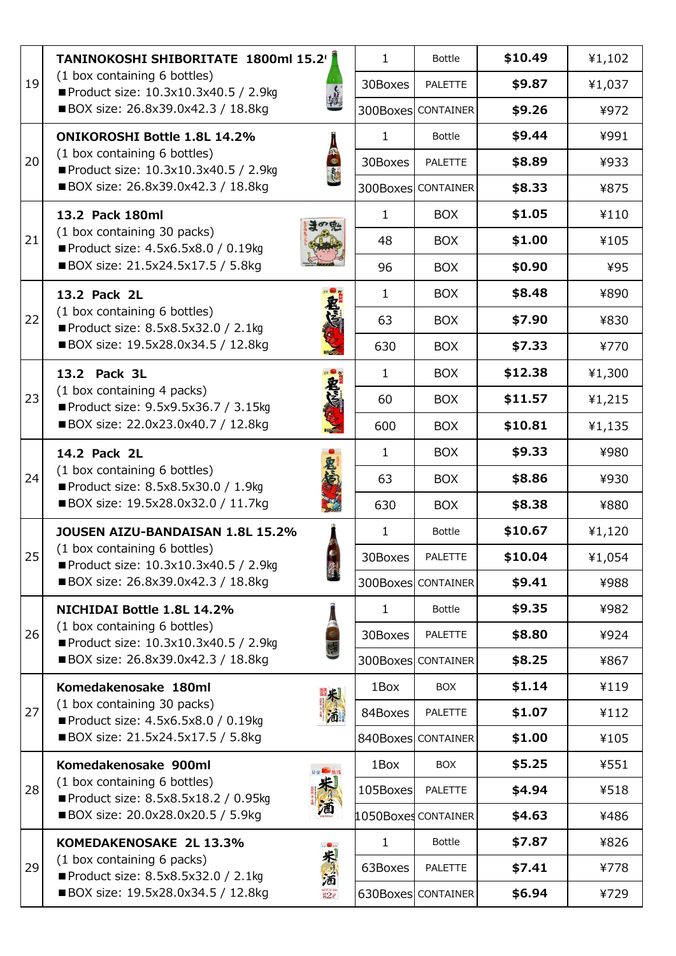|    | TANINOKOSHI SHIBORITATE 1800ml 15.2'                                                                                                                   |              | $\mathbf{1}$              | <b>Bottle</b>             | \$10.49 | ¥1,102 |
|----|--------------------------------------------------------------------------------------------------------------------------------------------------------|--------------|---------------------------|---------------------------|---------|--------|
| 19 | (1 box containing 6 bottles)<br>Product size: 10.3x10.3x40.5 / 2.9kg<br>■ BOX size: 26.8x39.0x42.3 / 18.8kg                                            | 30Boxes      | <b>PALETTE</b>            | \$9.87                    | ¥1,037  |        |
|    |                                                                                                                                                        |              | <b>300Boxes CONTAINER</b> | \$9.26                    | ¥972    |        |
| 20 | <b>ONIKOROSHI Bottle 1.8L 14.2%</b><br>(1 box containing 6 bottles)<br>Product size: 10.3x10.3x40.5 / 2.9kg<br>■ BOX size: 26.8x39.0x42.3 / 18.8kg     | $\mathbf{1}$ | <b>Bottle</b>             | \$9.44                    | ¥991    |        |
|    |                                                                                                                                                        |              | 30Boxes                   | PALETTE                   | \$8.89  | ¥933   |
|    |                                                                                                                                                        |              |                           | <b>300Boxes CONTAINER</b> | \$8.33  | ¥875   |
| 21 | 13.2 Pack 180ml<br>(1 box containing 30 packs)<br>Product size: 4.5x6.5x8.0 / 0.19kg<br>■ BOX size: 21.5x24.5x17.5 / 5.8kg                             | $\mathbf{1}$ | <b>BOX</b>                | \$1.05                    | ¥110    |        |
|    |                                                                                                                                                        |              | 48                        | <b>BOX</b>                | \$1.00  | ¥105   |
|    |                                                                                                                                                        | 96           | <b>BOX</b>                | \$0.90                    | ¥95     |        |
| 22 | 13.2 Pack 2L<br>(1 box containing 6 bottles)<br>Product size: 8.5x8.5x32.0 / 2.1kg<br>■ BOX size: 19.5x28.0x34.5 / 12.8kg                              | $\mathbf{1}$ | <b>BOX</b>                | \$8.48                    | ¥890    |        |
|    |                                                                                                                                                        |              | 63                        | <b>BOX</b>                | \$7.90  | ¥830   |
|    |                                                                                                                                                        |              | 630                       | <b>BOX</b>                | \$7.33  | ¥770   |
|    | 13.2 Pack 3L<br>(1 box containing 4 packs)<br>Product size: 9.5x9.5x36.7 / 3.15kg<br>■ BOX size: 22.0x23.0x40.7 / 12.8kg                               |              | $\mathbf{1}$              | <b>BOX</b>                | \$12.38 | ¥1,300 |
| 23 |                                                                                                                                                        |              | 60                        | <b>BOX</b>                | \$11.57 | ¥1,215 |
|    |                                                                                                                                                        |              | 600                       | <b>BOX</b>                | \$10.81 | ¥1,135 |
|    | 14.2 Pack 2L<br>(1 box containing 6 bottles)<br>Product size: 8.5x8.5x30.0 / 1.9kg<br>■ BOX size: 19.5x28.0x32.0 / 11.7kg                              |              | $\mathbf{1}$              | <b>BOX</b>                | \$9.33  | ¥980   |
| 24 |                                                                                                                                                        |              | 63                        | <b>BOX</b>                | \$8.86  | ¥930   |
|    |                                                                                                                                                        |              | 630                       | <b>BOX</b>                | \$8.38  | ¥880   |
|    | <b>JOUSEN AIZU-BANDAISAN 1.8L 15.2%</b><br>(1 box containing 6 bottles)<br>Product size: 10.3x10.3x40.5 / 2.9kg<br>■ BOX size: 26.8x39.0x42.3 / 18.8kg |              | $\mathbf{1}$              | <b>Bottle</b>             | \$10.67 | ¥1,120 |
| 25 |                                                                                                                                                        |              | 30Boxes                   | PALETTE                   | \$10.04 | ¥1,054 |
|    |                                                                                                                                                        |              |                           | <b>300Boxes CONTAINER</b> | \$9.41  | ¥988   |
|    | NICHIDAI Bottle 1.8L 14.2%<br>(1 box containing 6 bottles)<br>Product size: 10.3x10.3x40.5 / 2.9kg<br>■ BOX size: 26.8x39.0x42.3 / 18.8kg              |              | 1                         | <b>Bottle</b>             | \$9.35  | ¥982   |
| 26 |                                                                                                                                                        |              | 30Boxes                   | <b>PALETTE</b>            | \$8.80  | ¥924   |
|    |                                                                                                                                                        |              |                           | <b>300Boxes CONTAINER</b> | \$8.25  | ¥867   |
|    | Komedakenosake 180ml<br>(1 box containing 30 packs)<br>Product size: 4.5x6.5x8.0 / 0.19kg<br>■ BOX size: 21.5x24.5x17.5 / 5.8kg                        |              | 1Box                      | <b>BOX</b>                | \$1.14  | ¥119   |
| 27 |                                                                                                                                                        |              | 84Boxes                   | <b>PALETTE</b>            | \$1.07  | ¥112   |
|    |                                                                                                                                                        |              |                           | 840Boxes CONTAINER        | \$1.00  | ¥105   |
|    | Komedakenosake 900ml<br>(1 box containing 6 bottles)<br>Product size: 8.5x8.5x18.2 / 0.95kg<br>■ BOX size: 20.0x28.0x20.5 / 5.9kg                      |              | 1Box                      | <b>BOX</b>                | \$5.25  | ¥551   |
| 28 |                                                                                                                                                        |              | 105Boxes                  | <b>PALETTE</b>            | \$4.94  | ¥518   |
|    |                                                                                                                                                        |              |                           | 1050Boxes CONTAINER       | \$4.63  | ¥486   |
| 29 | KOMEDAKENOSAKE 2L 13.3%<br>朱酒<br>(1 box containing 6 packs)<br>Product size: 8.5x8.5x32.0 / 2.1kg<br>■ BOX size: 19.5x28.0x34.5 / 12.8kg<br>2e         |              | $\mathbf{1}$              | <b>Bottle</b>             | \$7.87  | ¥826   |
|    |                                                                                                                                                        |              | 63Boxes                   | <b>PALETTE</b>            | \$7.41  | ¥778   |
|    |                                                                                                                                                        |              |                           | 630Boxes CONTAINER        | \$6.94  | ¥729   |